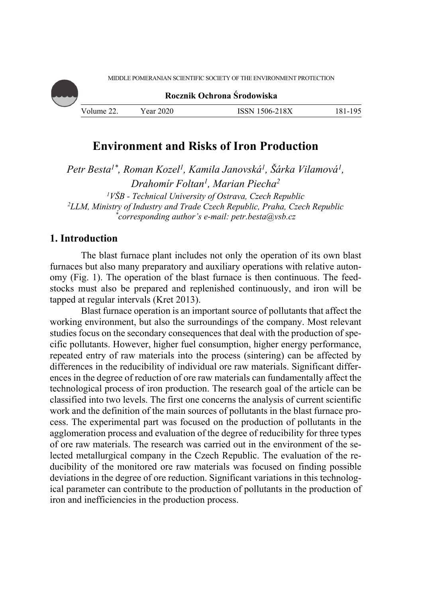**Rocznik Ochrona Środowiska** Volume 22. Year 2020 ISSN 1506-218X 181-195

# **Environment and Risks of Iron Production**

*Petr Besta1\*, Roman Kozel1, Kamila Janovská1, Šárka Vilamová1, Drahomír Foltan1, Marian Piecha2* <sup>1</sup> *VŠB - Technical University of Ostrava, Czech Republic*<br><sup>2</sup>*I I M Ministry of Industry and Trade Czech Republic, Praha, Czec LLM, Ministry of Industry and Trade Czech Republic, Praha, Czech Republic \* corresponding author's e-mail: petr.besta@vsb.cz* 

## **1. Introduction**

The blast furnace plant includes not only the operation of its own blast furnaces but also many preparatory and auxiliary operations with relative autonomy (Fig. 1). The operation of the blast furnace is then continuous. The feedstocks must also be prepared and replenished continuously, and iron will be tapped at regular intervals (Kret 2013).

Blast furnace operation is an important source of pollutants that affect the working environment, but also the surroundings of the company. Most relevant studies focus on the secondary consequences that deal with the production of specific pollutants. However, higher fuel consumption, higher energy performance, repeated entry of raw materials into the process (sintering) can be affected by differences in the reducibility of individual ore raw materials. Significant differences in the degree of reduction of ore raw materials can fundamentally affect the technological process of iron production. The research goal of the article can be classified into two levels. The first one concerns the analysis of current scientific work and the definition of the main sources of pollutants in the blast furnace process. The experimental part was focused on the production of pollutants in the agglomeration process and evaluation of the degree of reducibility for three types of ore raw materials. The research was carried out in the environment of the selected metallurgical company in the Czech Republic. The evaluation of the reducibility of the monitored ore raw materials was focused on finding possible deviations in the degree of ore reduction. Significant variations in this technological parameter can contribute to the production of pollutants in the production of iron and inefficiencies in the production process.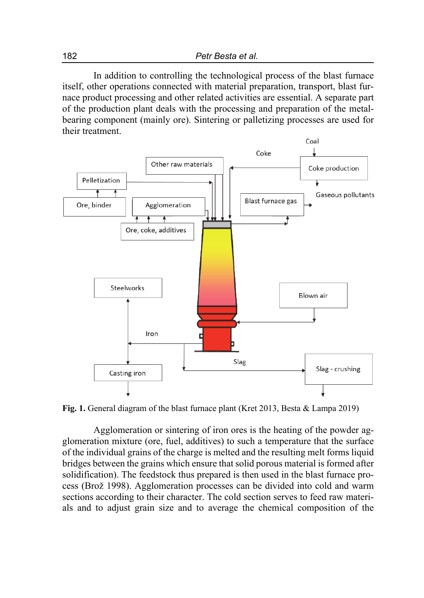In addition to controlling the technological process of the blast furnace itself, other operations connected with material preparation, transport, blast furnace product processing and other related activities are essential. A separate part of the production plant deals with the processing and preparation of the metalbearing component (mainly ore). Sintering or palletizing processes are used for their treatment.



**Fig. 1.** General diagram of the blast furnace plant (Kret 2013, Besta & Lampa 2019)

Agglomeration or sintering of iron ores is the heating of the powder agglomeration mixture (ore, fuel, additives) to such a temperature that the surface of the individual grains of the charge is melted and the resulting melt forms liquid bridges between the grains which ensure that solid porous material is formed after solidification). The feedstock thus prepared is then used in the blast furnace process (Brož 1998). Agglomeration processes can be divided into cold and warm sections according to their character. The cold section serves to feed raw materials and to adjust grain size and to average the chemical composition of the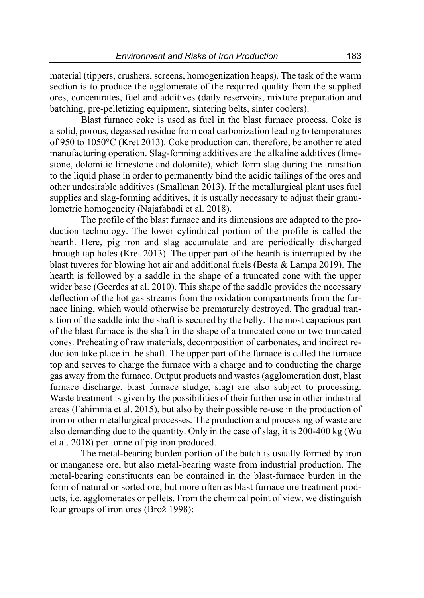material (tippers, crushers, screens, homogenization heaps). The task of the warm section is to produce the agglomerate of the required quality from the supplied ores, concentrates, fuel and additives (daily reservoirs, mixture preparation and batching, pre-pelletizing equipment, sintering belts, sinter coolers).

Blast furnace coke is used as fuel in the blast furnace process. Coke is a solid, porous, degassed residue from coal carbonization leading to temperatures of 950 to 1050°C (Kret 2013). Coke production can, therefore, be another related manufacturing operation. Slag-forming additives are the alkaline additives (limestone, dolomitic limestone and dolomite), which form slag during the transition to the liquid phase in order to permanently bind the acidic tailings of the ores and other undesirable additives (Smallman 2013). If the metallurgical plant uses fuel supplies and slag-forming additives, it is usually necessary to adjust their granulometric homogeneity (Najafabadi et al. 2018).

The profile of the blast furnace and its dimensions are adapted to the production technology. The lower cylindrical portion of the profile is called the hearth. Here, pig iron and slag accumulate and are periodically discharged through tap holes (Kret 2013). The upper part of the hearth is interrupted by the blast tuyeres for blowing hot air and additional fuels (Besta & Lampa 2019). The hearth is followed by a saddle in the shape of a truncated cone with the upper wider base (Geerdes at al. 2010). This shape of the saddle provides the necessary deflection of the hot gas streams from the oxidation compartments from the furnace lining, which would otherwise be prematurely destroyed. The gradual transition of the saddle into the shaft is secured by the belly. The most capacious part of the blast furnace is the shaft in the shape of a truncated cone or two truncated cones. Preheating of raw materials, decomposition of carbonates, and indirect reduction take place in the shaft. The upper part of the furnace is called the furnace top and serves to charge the furnace with a charge and to conducting the charge gas away from the furnace. Output products and wastes (agglomeration dust, blast furnace discharge, blast furnace sludge, slag) are also subject to processing. Waste treatment is given by the possibilities of their further use in other industrial areas (Fahimnia et al. 2015), but also by their possible re-use in the production of iron or other metallurgical processes. The production and processing of waste are also demanding due to the quantity. Only in the case of slag, it is 200-400 kg (Wu et al. 2018) per tonne of pig iron produced.

The metal-bearing burden portion of the batch is usually formed by iron or manganese ore, but also metal-bearing waste from industrial production. The metal-bearing constituents can be contained in the blast-furnace burden in the form of natural or sorted ore, but more often as blast furnace ore treatment products, i.e. agglomerates or pellets. From the chemical point of view, we distinguish four groups of iron ores (Brož 1998):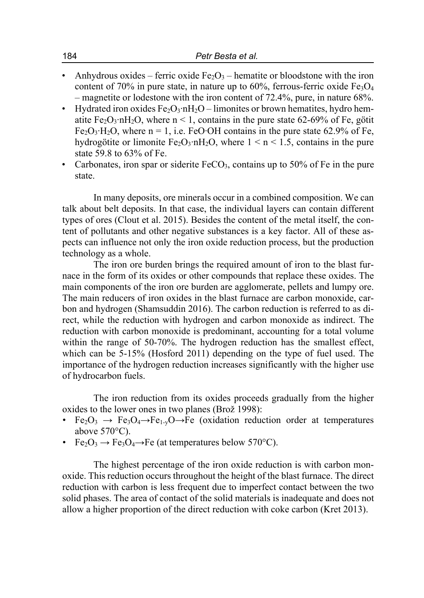- Anhydrous oxides ferric oxide  $Fe<sub>2</sub>O<sub>3</sub>$  hematite or bloodstone with the iron content of 70% in pure state, in nature up to 60%, ferrous-ferric oxide  $Fe<sub>3</sub>O<sub>4</sub>$ – magnetite or lodestone with the iron content of 72.4%, pure, in nature 68%.
- Hydrated iron oxides  $Fe_2O_3 \cdot nH_2O -$  limonites or brown hematites, hydro hematite Fe<sub>2</sub>O<sub>3</sub>⋅nH<sub>2</sub>O, where n < 1, contains in the pure state 62-69% of Fe, götit Fe<sub>2</sub>O<sub>3</sub>⋅H<sub>2</sub>O, where n = 1, i.e. FeO⋅OH contains in the pure state 62.9% of Fe, hydrogötite or limonite Fe<sub>2</sub>O<sub>3</sub>⋅nH<sub>2</sub>O, where  $1 \le n \le 1.5$ , contains in the pure state 59.8 to 63% of Fe.
- Carbonates, iron spar or siderite  $FeCO<sub>3</sub>$ , contains up to 50% of Fe in the pure state.

In many deposits, ore minerals occur in a combined composition. We can talk about belt deposits. In that case, the individual layers can contain different types of ores (Clout et al. 2015). Besides the content of the metal itself, the content of pollutants and other negative substances is a key factor. All of these aspects can influence not only the iron oxide reduction process, but the production technology as a whole.

The iron ore burden brings the required amount of iron to the blast furnace in the form of its oxides or other compounds that replace these oxides. The main components of the iron ore burden are agglomerate, pellets and lumpy ore. The main reducers of iron oxides in the blast furnace are carbon monoxide, carbon and hydrogen (Shamsuddin 2016). The carbon reduction is referred to as direct, while the reduction with hydrogen and carbon monoxide as indirect. The reduction with carbon monoxide is predominant, accounting for a total volume within the range of 50-70%. The hydrogen reduction has the smallest effect, which can be 5-15% (Hosford 2011) depending on the type of fuel used. The importance of the hydrogen reduction increases significantly with the higher use of hydrocarbon fuels.

The iron reduction from its oxides proceeds gradually from the higher oxides to the lower ones in two planes (Brož 1998):

- Fe<sub>2</sub>O<sub>3</sub>  $\rightarrow$  Fe<sub>3</sub>O<sub>4</sub> $\rightarrow$ Fe<sub>1-y</sub>O $\rightarrow$ Fe (oxidation reduction order at temperatures above 570°C).
- Fe<sub>2</sub>O<sub>3</sub>  $\rightarrow$  Fe<sub>3</sub>O<sub>4</sub> $\rightarrow$ Fe (at temperatures below 570<sup>o</sup>C).

The highest percentage of the iron oxide reduction is with carbon monoxide. This reduction occurs throughout the height of the blast furnace. The direct reduction with carbon is less frequent due to imperfect contact between the two solid phases. The area of contact of the solid materials is inadequate and does not allow a higher proportion of the direct reduction with coke carbon (Kret 2013).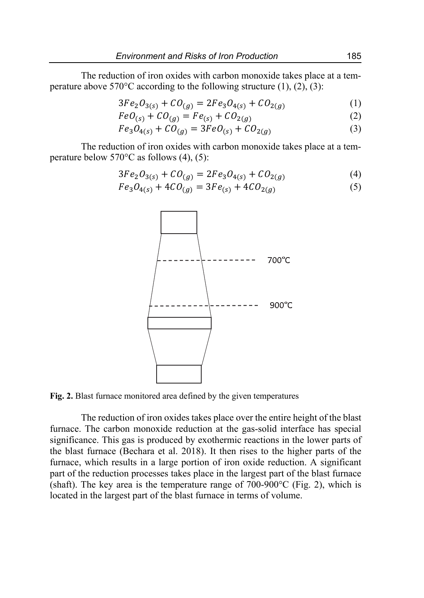The reduction of iron oxides with carbon monoxide takes place at a temperature above  $570^{\circ}$ C according to the following structure (1), (2), (3):

$$
3Fe2O3(s) + CO(g) = 2Fe3O4(s) + CO2(g)
$$
 (1)

$$
FeO_{(s)} + CO_{(g)} = Fe_{(s)} + CO_{2(g)}
$$
\n
$$
(2)
$$

$$
Fe_3O_{4(s)} + CO_{(g)} = 3FeO_{(s)} + CO_{2(g)}
$$
 (3)

The reduction of iron oxides with carbon monoxide takes place at a temperature below  $570^{\circ}$ C as follows (4), (5):

$$
3Fe2O3(s) + CO(g) = 2Fe3O4(s) + CO2(g)
$$
 (4)

$$
Fe3O4(s) + 4CO(g) = 3Fe(s) + 4CO2(g)
$$
 (5)



**Fig. 2.** Blast furnace monitored area defined by the given temperatures

The reduction of iron oxides takes place over the entire height of the blast furnace. The carbon monoxide reduction at the gas-solid interface has special significance. This gas is produced by exothermic reactions in the lower parts of the blast furnace (Bechara et al. 2018). It then rises to the higher parts of the furnace, which results in a large portion of iron oxide reduction. A significant part of the reduction processes takes place in the largest part of the blast furnace (shaft). The key area is the temperature range of  $700-900^{\circ}$ C (Fig. 2), which is located in the largest part of the blast furnace in terms of volume.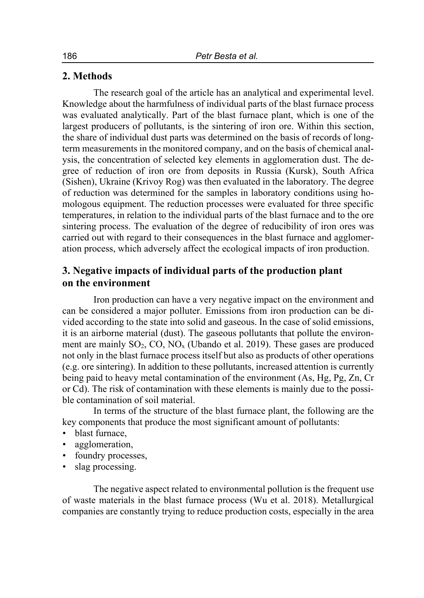### **2. Methods**

The research goal of the article has an analytical and experimental level. Knowledge about the harmfulness of individual parts of the blast furnace process was evaluated analytically. Part of the blast furnace plant, which is one of the largest producers of pollutants, is the sintering of iron ore. Within this section, the share of individual dust parts was determined on the basis of records of longterm measurements in the monitored company, and on the basis of chemical analysis, the concentration of selected key elements in agglomeration dust. The degree of reduction of iron ore from deposits in Russia (Kursk), South Africa (Sishen), Ukraine (Krivoy Rog) was then evaluated in the laboratory. The degree of reduction was determined for the samples in laboratory conditions using homologous equipment. The reduction processes were evaluated for three specific temperatures, in relation to the individual parts of the blast furnace and to the ore sintering process. The evaluation of the degree of reducibility of iron ores was carried out with regard to their consequences in the blast furnace and agglomeration process, which adversely affect the ecological impacts of iron production.

### **3. Negative impacts of individual parts of the production plant on the environment**

Iron production can have a very negative impact on the environment and can be considered a major polluter. Emissions from iron production can be divided according to the state into solid and gaseous. In the case of solid emissions, it is an airborne material (dust). The gaseous pollutants that pollute the environment are mainly  $SO_2$ ,  $CO$ ,  $NO_x$  (Ubando et al. 2019). These gases are produced not only in the blast furnace process itself but also as products of other operations (e.g. ore sintering). In addition to these pollutants, increased attention is currently being paid to heavy metal contamination of the environment (As, Hg, Pg, Zn, Cr or Cd). The risk of contamination with these elements is mainly due to the possible contamination of soil material.

In terms of the structure of the blast furnace plant, the following are the key components that produce the most significant amount of pollutants:

- blast furnace,
- agglomeration,
- foundry processes,
- slag processing.

The negative aspect related to environmental pollution is the frequent use of waste materials in the blast furnace process (Wu et al. 2018). Metallurgical companies are constantly trying to reduce production costs, especially in the area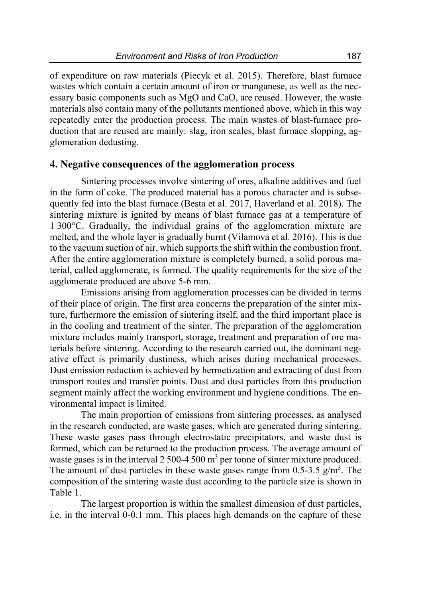of expenditure on raw materials (Piecyk et al. 2015). Therefore, blast furnace wastes which contain a certain amount of iron or manganese, as well as the necessary basic components such as MgO and CaO, are reused. However, the waste materials also contain many of the pollutants mentioned above, which in this way repeatedly enter the production process. The main wastes of blast-furnace production that are reused are mainly: slag, iron scales, blast furnace slopping, agglomeration dedusting.

#### **4. Negative consequences of the agglomeration process**

Sintering processes involve sintering of ores, alkaline additives and fuel in the form of coke. The produced material has a porous character and is subsequently fed into the blast furnace (Besta et al. 2017, Haverland et al. 2018). The sintering mixture is ignited by means of blast furnace gas at a temperature of 1 300°C. Gradually, the individual grains of the agglomeration mixture are melted, and the whole layer is gradually burnt (Vilamova et al. 2016). This is due to the vacuum suction of air, which supports the shift within the combustion front. After the entire agglomeration mixture is completely burned, a solid porous material, called agglomerate, is formed. The quality requirements for the size of the agglomerate produced are above 5-6 mm.

Emissions arising from agglomeration processes can be divided in terms of their place of origin. The first area concerns the preparation of the sinter mixture, furthermore the emission of sintering itself, and the third important place is in the cooling and treatment of the sinter. The preparation of the agglomeration mixture includes mainly transport, storage, treatment and preparation of ore materials before sintering. According to the research carried out, the dominant negative effect is primarily dustiness, which arises during mechanical processes. Dust emission reduction is achieved by hermetization and extracting of dust from transport routes and transfer points. Dust and dust particles from this production segment mainly affect the working environment and hygiene conditions. The environmental impact is limited.

The main proportion of emissions from sintering processes, as analysed in the research conducted, are waste gases, which are generated during sintering. These waste gases pass through electrostatic precipitators, and waste dust is formed, which can be returned to the production process. The average amount of waste gases is in the interval 2 500-4 500  $m<sup>3</sup>$  per tonne of sinter mixture produced. The amount of dust particles in these waste gases range from  $0.5$ -3.5 g/m<sup>3</sup>. The composition of the sintering waste dust according to the particle size is shown in Table 1.

The largest proportion is within the smallest dimension of dust particles, i.e. in the interval 0-0.1 mm. This places high demands on the capture of these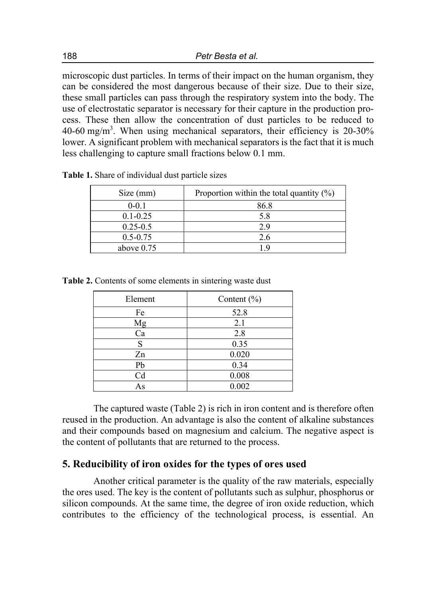microscopic dust particles. In terms of their impact on the human organism, they can be considered the most dangerous because of their size. Due to their size, these small particles can pass through the respiratory system into the body. The use of electrostatic separator is necessary for their capture in the production process. These then allow the concentration of dust particles to be reduced to 40-60 mg/m<sup>3</sup>. When using mechanical separators, their efficiency is  $20-30\%$ lower. A significant problem with mechanical separators is the fact that it is much less challenging to capture small fractions below 0.1 mm.

| Size (mm)    | Proportion within the total quantity $(\%)$ |
|--------------|---------------------------------------------|
| $0 - 0.1$    | 86.8                                        |
| $0.1 - 0.25$ | 5.8                                         |
| $0.25 - 0.5$ | 2.9                                         |
| $0.5 - 0.75$ | 2.6                                         |
| above $0.75$ | 1 Q                                         |

**Table 1.** Share of individual dust particle sizes

**Table 2.** Contents of some elements in sintering waste dust

| Element | Content $(\% )$ |
|---------|-----------------|
| Fe      | 52.8            |
| Mg      | 2.1             |
| Ca      | 2.8             |
| S       | 0.35            |
| Zn      | 0.020           |
| Pb      | 0.34            |
| Cd      | 0.008           |
| As      | 0.002           |

The captured waste (Table 2) is rich in iron content and is therefore often reused in the production. An advantage is also the content of alkaline substances and their compounds based on magnesium and calcium. The negative aspect is the content of pollutants that are returned to the process.

### **5. Reducibility of iron oxides for the types of ores used**

Another critical parameter is the quality of the raw materials, especially the ores used. The key is the content of pollutants such as sulphur, phosphorus or silicon compounds. At the same time, the degree of iron oxide reduction, which contributes to the efficiency of the technological process, is essential. An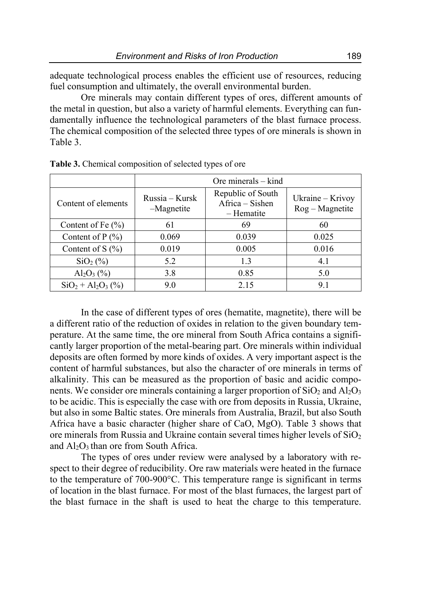adequate technological process enables the efficient use of resources, reducing fuel consumption and ultimately, the overall environmental burden.

Ore minerals may contain different types of ores, different amounts of the metal in question, but also a variety of harmful elements. Everything can fundamentally influence the technological parameters of the blast furnace process. The chemical composition of the selected three types of ore minerals is shown in Table 3.

|                       | Ore minerals $-$ kind        |                                                    |                                    |
|-----------------------|------------------------------|----------------------------------------------------|------------------------------------|
| Content of elements   | Russia – Kursk<br>-Magnetite | Republic of South<br>Africa - Sishen<br>– Hematite | Ukraine - Krivoy<br>$Rog-Magnetic$ |
| Content of Fe $(\% )$ | 61                           | 69                                                 | 60                                 |
| Content of $P(\% )$   | 0.069                        | 0.039                                              | 0.025                              |
| Content of S $(\% )$  | 0.019                        | 0.005                                              | 0.016                              |
| $SiO2(\%)$            | 5.2                          | 1.3                                                | 4.1                                |
| $Al_2O_3$ (%)         | 3.8                          | 0.85                                               | 5.0                                |
| $SiO_2 + Al_2O_3$ (%) | 9.0                          | 2.15                                               | 9.1                                |

**Table 3.** Chemical composition of selected types of ore

In the case of different types of ores (hematite, magnetite), there will be a different ratio of the reduction of oxides in relation to the given boundary temperature. At the same time, the ore mineral from South Africa contains a significantly larger proportion of the metal-bearing part. Ore minerals within individual deposits are often formed by more kinds of oxides. A very important aspect is the content of harmful substances, but also the character of ore minerals in terms of alkalinity. This can be measured as the proportion of basic and acidic components. We consider ore minerals containing a larger proportion of  $SiO<sub>2</sub>$  and  $Al<sub>2</sub>O<sub>3</sub>$ to be acidic. This is especially the case with ore from deposits in Russia, Ukraine, but also in some Baltic states. Ore minerals from Australia, Brazil, but also South Africa have a basic character (higher share of CaO, MgO). Table 3 shows that ore minerals from Russia and Ukraine contain several times higher levels of  $SiO<sub>2</sub>$ and  $Al_2O_3$  than ore from South Africa.

The types of ores under review were analysed by a laboratory with respect to their degree of reducibility. Ore raw materials were heated in the furnace to the temperature of 700-900°C. This temperature range is significant in terms of location in the blast furnace. For most of the blast furnaces, the largest part of the blast furnace in the shaft is used to heat the charge to this temperature.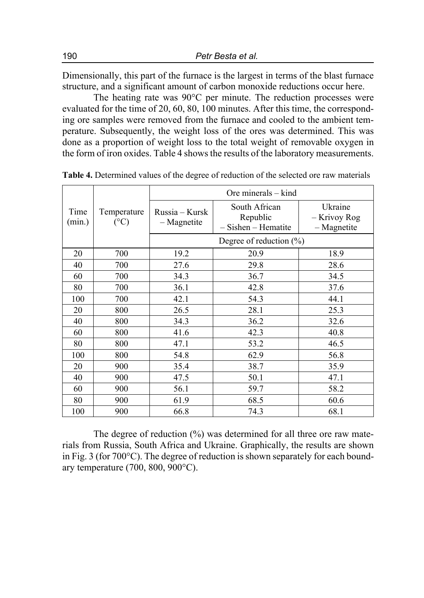Dimensionally, this part of the furnace is the largest in terms of the blast furnace structure, and a significant amount of carbon monoxide reductions occur here.

The heating rate was 90°C per minute. The reduction processes were evaluated for the time of 20, 60, 80, 100 minutes. After this time, the corresponding ore samples were removed from the furnace and cooled to the ambient temperature. Subsequently, the weight loss of the ores was determined. This was done as a proportion of weight loss to the total weight of removable oxygen in the form of iron oxides. Table 4 shows the results of the laboratory measurements.

|                |                                | Ore minerals $-$ kind           |                                                      |                                          |  |
|----------------|--------------------------------|---------------------------------|------------------------------------------------------|------------------------------------------|--|
| Time<br>(min.) | Temperature<br>$({}^{\circ}C)$ | Russia – Kursk<br>$-$ Magnetite | South African<br>Republic<br>$-$ Sishen $-$ Hematite | Ukraine<br>– Krivoy Rog<br>$-$ Magnetite |  |
|                |                                | Degree of reduction $(\%)$      |                                                      |                                          |  |
| 20             | 700                            | 19.2                            | 20.9                                                 | 18.9                                     |  |
| 40             | 700                            | 27.6                            | 29.8                                                 | 28.6                                     |  |
| 60             | 700                            | 34.3                            | 36.7                                                 | 34.5                                     |  |
| 80             | 700                            | 36.1                            | 42.8                                                 | 37.6                                     |  |
| 100            | 700                            | 42.1                            | 54.3                                                 | 44.1                                     |  |
| 20             | 800                            | 26.5                            | 28.1                                                 | 25.3                                     |  |
| 40             | 800                            | 34.3                            | 36.2                                                 | 32.6                                     |  |
| 60             | 800                            | 41.6                            | 42.3                                                 | 40.8                                     |  |
| 80             | 800                            | 47.1                            | 53.2                                                 | 46.5                                     |  |
| 100            | 800                            | 54.8                            | 62.9                                                 | 56.8                                     |  |
| 20             | 900                            | 35.4                            | 38.7                                                 | 35.9                                     |  |
| 40             | 900                            | 47.5                            | 50.1                                                 | 47.1                                     |  |
| 60             | 900                            | 56.1                            | 59.7                                                 | 58.2                                     |  |
| 80             | 900                            | 61.9                            | 68.5                                                 | 60.6                                     |  |
| 100            | 900                            | 66.8                            | 74.3                                                 | 68.1                                     |  |

**Table 4.** Determined values of the degree of reduction of the selected ore raw materials

The degree of reduction (%) was determined for all three ore raw materials from Russia, South Africa and Ukraine. Graphically, the results are shown in Fig. 3 (for 700°C). The degree of reduction is shown separately for each boundary temperature (700, 800, 900°C).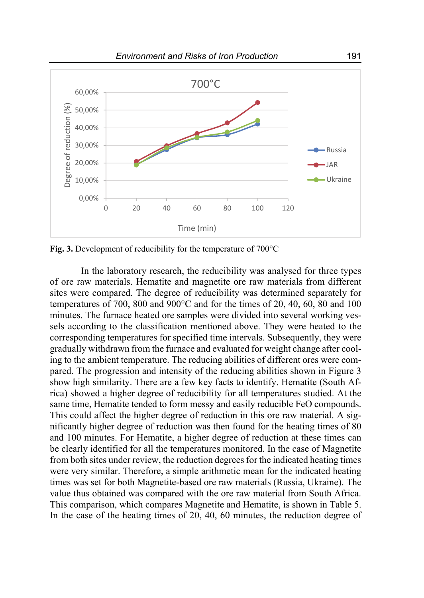

**Fig. 3.** Development of reducibility for the temperature of 700°C

In the laboratory research, the reducibility was analysed for three types of ore raw materials. Hematite and magnetite ore raw materials from different sites were compared. The degree of reducibility was determined separately for temperatures of 700, 800 and 900°C and for the times of 20, 40, 60, 80 and 100 minutes. The furnace heated ore samples were divided into several working vessels according to the classification mentioned above. They were heated to the corresponding temperatures for specified time intervals. Subsequently, they were gradually withdrawn from the furnace and evaluated for weight change after cooling to the ambient temperature. The reducing abilities of different ores were compared. The progression and intensity of the reducing abilities shown in Figure 3 show high similarity. There are a few key facts to identify. Hematite (South Africa) showed a higher degree of reducibility for all temperatures studied. At the same time, Hematite tended to form messy and easily reducible FeO compounds. This could affect the higher degree of reduction in this ore raw material. A significantly higher degree of reduction was then found for the heating times of 80 and 100 minutes. For Hematite, a higher degree of reduction at these times can be clearly identified for all the temperatures monitored. In the case of Magnetite from both sites under review, the reduction degrees for the indicated heating times were very similar. Therefore, a simple arithmetic mean for the indicated heating times was set for both Magnetite-based ore raw materials (Russia, Ukraine). The value thus obtained was compared with the ore raw material from South Africa. This comparison, which compares Magnetite and Hematite, is shown in Table 5. In the case of the heating times of 20, 40, 60 minutes, the reduction degree of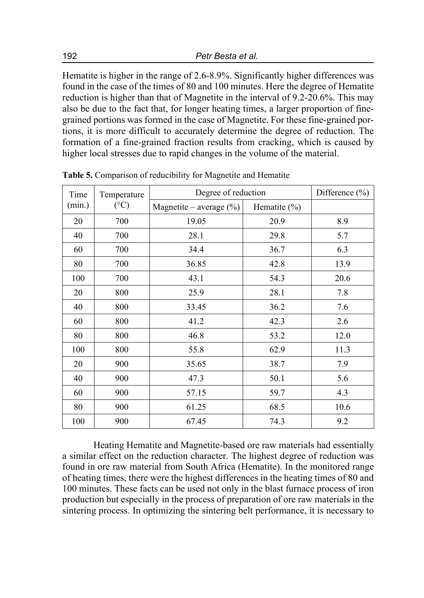Hematite is higher in the range of 2.6-8.9%. Significantly higher differences was found in the case of the times of 80 and 100 minutes. Here the degree of Hematite reduction is higher than that of Magnetite in the interval of 9.2-20.6%. This may also be due to the fact that, for longer heating times, a larger proportion of finegrained portions was formed in the case of Magnetite. For these fine-grained portions, it is more difficult to accurately determine the degree of reduction. The formation of a fine-grained fraction results from cracking, which is caused by higher local stresses due to rapid changes in the volume of the material.

| Time<br>Temperature       |                            | Degree of reduction |      | Difference $(\% )$ |
|---------------------------|----------------------------|---------------------|------|--------------------|
| $({}^{\circ}C)$<br>(min.) | Magnetite – average $(\%)$ | Hematite $(\% )$    |      |                    |
| 20                        | 700                        | 19.05               | 20.9 | 8.9                |
| 40                        | 700                        | 28.1                | 29.8 | 5.7                |
| 60                        | 700                        | 34.4                | 36.7 | 6.3                |
| 80                        | 700                        | 36.85               | 42.8 | 13.9               |
| 100                       | 700                        | 43.1                | 54.3 | 20.6               |
| 20                        | 800                        | 25.9                | 28.1 | 7.8                |
| 40                        | 800                        | 33.45               | 36.2 | 7.6                |
| 60                        | 800                        | 41.2                | 42.3 | 2.6                |
| 80                        | 800                        | 46.8                | 53.2 | 12.0               |
| 100                       | 800                        | 55.8                | 62.9 | 11.3               |
| 20                        | 900                        | 35.65               | 38.7 | 7.9                |
| 40                        | 900                        | 47.3                | 50.1 | 5.6                |
| 60                        | 900                        | 57.15               | 59.7 | 4.3                |
| 80                        | 900                        | 61.25               | 68.5 | 10.6               |
| 100                       | 900                        | 67.45               | 74.3 | 9.2                |

**Table 5.** Comparison of reducibility for Magnetite and Hematite

Heating Hematite and Magnetite-based ore raw materials had essentially a similar effect on the reduction character. The highest degree of reduction was found in ore raw material from South Africa (Hematite). In the monitored range of heating times, there were the highest differences in the heating times of 80 and 100 minutes. These facts can be used not only in the blast furnace process of iron production but especially in the process of preparation of ore raw materials in the sintering process. In optimizing the sintering belt performance, it is necessary to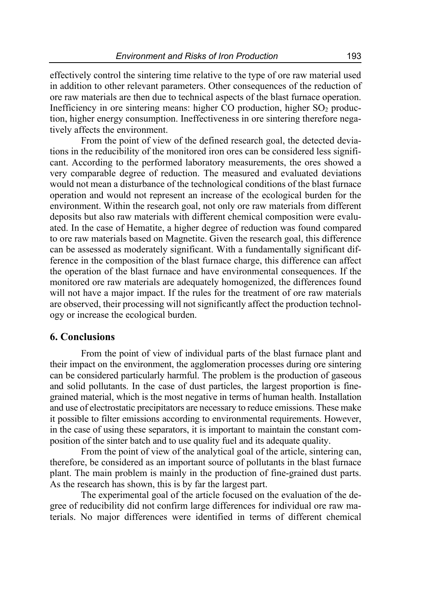effectively control the sintering time relative to the type of ore raw material used in addition to other relevant parameters. Other consequences of the reduction of ore raw materials are then due to technical aspects of the blast furnace operation. Inefficiency in ore sintering means: higher CO production, higher  $SO<sub>2</sub>$  production, higher energy consumption. Ineffectiveness in ore sintering therefore negatively affects the environment.

From the point of view of the defined research goal, the detected deviations in the reducibility of the monitored iron ores can be considered less significant. According to the performed laboratory measurements, the ores showed a very comparable degree of reduction. The measured and evaluated deviations would not mean a disturbance of the technological conditions of the blast furnace operation and would not represent an increase of the ecological burden for the environment. Within the research goal, not only ore raw materials from different deposits but also raw materials with different chemical composition were evaluated. In the case of Hematite, a higher degree of reduction was found compared to ore raw materials based on Magnetite. Given the research goal, this difference can be assessed as moderately significant. With a fundamentally significant difference in the composition of the blast furnace charge, this difference can affect the operation of the blast furnace and have environmental consequences. If the monitored ore raw materials are adequately homogenized, the differences found will not have a major impact. If the rules for the treatment of ore raw materials are observed, their processing will not significantly affect the production technology or increase the ecological burden.

### **6. Conclusions**

From the point of view of individual parts of the blast furnace plant and their impact on the environment, the agglomeration processes during ore sintering can be considered particularly harmful. The problem is the production of gaseous and solid pollutants. In the case of dust particles, the largest proportion is finegrained material, which is the most negative in terms of human health. Installation and use of electrostatic precipitators are necessary to reduce emissions. These make it possible to filter emissions according to environmental requirements. However, in the case of using these separators, it is important to maintain the constant composition of the sinter batch and to use quality fuel and its adequate quality.

From the point of view of the analytical goal of the article, sintering can, therefore, be considered as an important source of pollutants in the blast furnace plant. The main problem is mainly in the production of fine-grained dust parts. As the research has shown, this is by far the largest part.

The experimental goal of the article focused on the evaluation of the degree of reducibility did not confirm large differences for individual ore raw materials. No major differences were identified in terms of different chemical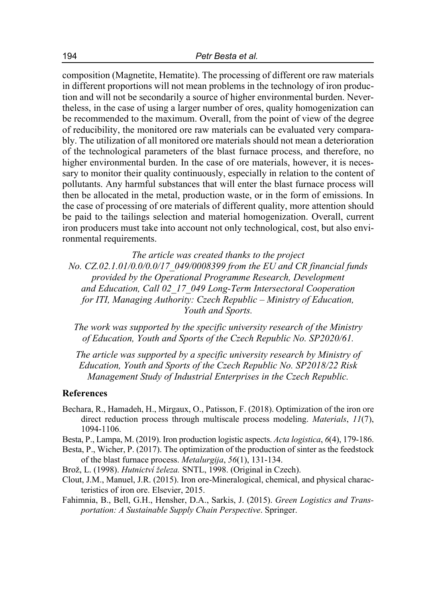composition (Magnetite, Hematite). The processing of different ore raw materials in different proportions will not mean problems in the technology of iron production and will not be secondarily a source of higher environmental burden. Nevertheless, in the case of using a larger number of ores, quality homogenization can be recommended to the maximum. Overall, from the point of view of the degree of reducibility, the monitored ore raw materials can be evaluated very comparably. The utilization of all monitored ore materials should not mean a deterioration of the technological parameters of the blast furnace process, and therefore, no higher environmental burden. In the case of ore materials, however, it is necessary to monitor their quality continuously, especially in relation to the content of pollutants. Any harmful substances that will enter the blast furnace process will then be allocated in the metal, production waste, or in the form of emissions. In the case of processing of ore materials of different quality, more attention should be paid to the tailings selection and material homogenization. Overall, current iron producers must take into account not only technological, cost, but also environmental requirements.

*The article was created thanks to the project* 

*No. CZ.02.1.01/0.0/0.0/17\_049/0008399 from the EU and CR financial funds provided by the Operational Programme Research, Development and Education, Call 02\_17\_049 Long-Term Intersectoral Cooperation for ITI, Managing Authority: Czech Republic – Ministry of Education, Youth and Sports.* 

*The work was supported by the specific university research of the Ministry of Education, Youth and Sports of the Czech Republic No. SP2020/61.*

*The article was supported by a specific university research by Ministry of Education, Youth and Sports of the Czech Republic No. SP2018/22 Risk Management Study of Industrial Enterprises in the Czech Republic.*

#### **References**

- Bechara, R., Hamadeh, H., Mirgaux, O., Patisson, F. (2018). Optimization of the iron ore direct reduction process through multiscale process modeling. *Materials*, *11*(7), 1094-1106.
- Besta, P., Lampa, M. (2019). Iron production logistic aspects. *Acta logistica*, *6*(4), 179-186.
- Besta, P., Wicher, P. (2017). The optimization of the production of sinter as the feedstock of the blast furnace process. *Metalurgija*, *56*(1), 131-134.
- Brož, L. (1998). *Hutnictví železa.* SNTL, 1998. (Original in Czech).
- Clout, J.M., Manuel, J.R. (2015). Iron ore-Mineralogical, chemical, and physical characteristics of iron ore. Elsevier, 2015.
- Fahimnia, B., Bell, G.H., Hensher, D.A., Sarkis, J. (2015). *Green Logistics and Transportation: A Sustainable Supply Chain Perspective*. Springer.